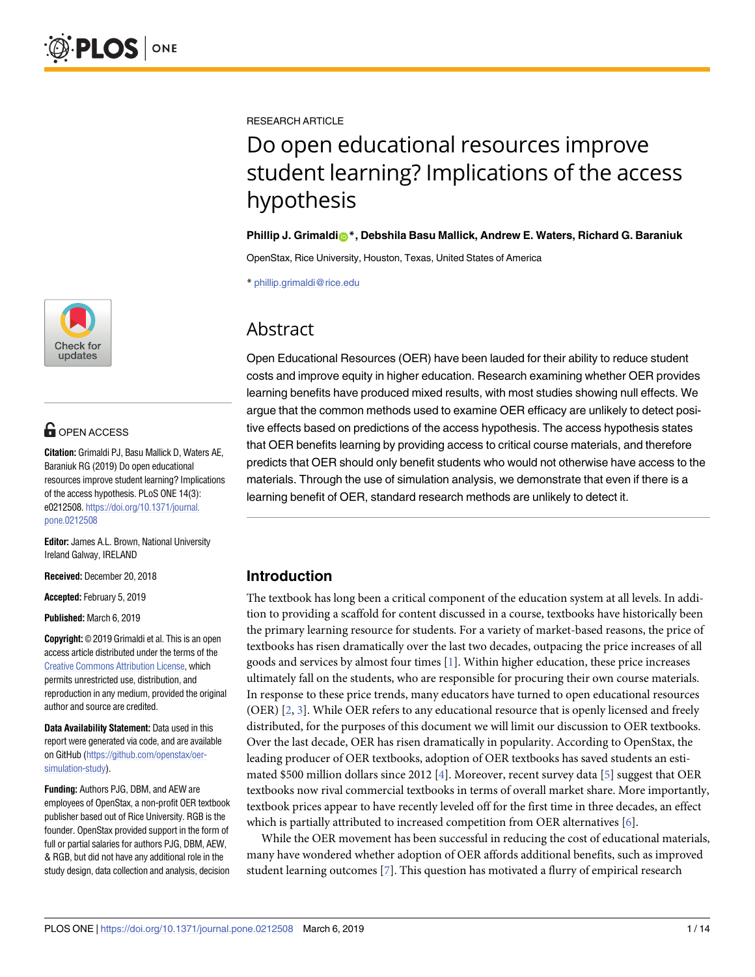

# **OPEN ACCESS**

**Citation:** Grimaldi PJ, Basu Mallick D, Waters AE, Baraniuk RG (2019) Do open educational resources improve student learning? Implications of the access hypothesis. PLoS ONE 14(3): e0212508. [https://doi.org/10.1371/journal.](https://doi.org/10.1371/journal.pone.0212508) [pone.0212508](https://doi.org/10.1371/journal.pone.0212508)

**Editor:** James A.L. Brown, National University Ireland Galway, IRELAND

**Received:** December 20, 2018

**Accepted:** February 5, 2019

**Published:** March 6, 2019

**Copyright:** © 2019 Grimaldi et al. This is an open access article distributed under the terms of the Creative Commons [Attribution](http://creativecommons.org/licenses/by/4.0/) License, which permits unrestricted use, distribution, and reproduction in any medium, provided the original author and source are credited.

**Data Availability Statement:** Data used in this report were generated via code, and are available on GitHub [\(https://github.com/openstax/oer](https://github.com/openstax/oer-simulation-study)[simulation-study\)](https://github.com/openstax/oer-simulation-study).

**Funding:** Authors PJG, DBM, and AEW are employees of OpenStax, a non-profit OER textbook publisher based out of Rice University. RGB is the founder. OpenStax provided support in the form of full or partial salaries for authors PJG, DBM, AEW, & RGB, but did not have any additional role in the study design, data collection and analysis, decision <span id="page-0-0"></span>RESEARCH ARTICLE

# Do open educational resources improve student learning? Implications of the access hypothesis

#### **Phillip J. Grimald[iID](http://orcid.org/0000-0002-5658-6210)\*, Debshila Basu Mallick, Andrew E. Waters, Richard G. Baraniuk**

OpenStax, Rice University, Houston, Texas, United States of America

\* phillip.grimaldi@rice.edu

# **Abstract**

Open Educational Resources (OER) have been lauded for their ability to reduce student costs and improve equity in higher education. Research examining whether OER provides learning benefits have produced mixed results, with most studies showing null effects. We argue that the common methods used to examine OER efficacy are unlikely to detect positive effects based on predictions of the access hypothesis. The access hypothesis states that OER benefits learning by providing access to critical course materials, and therefore predicts that OER should only benefit students who would not otherwise have access to the materials. Through the use of simulation analysis, we demonstrate that even if there is a learning benefit of OER, standard research methods are unlikely to detect it.

# **Introduction**

The textbook has long been a critical component of the education system at all levels. In addition to providing a scaffold for content discussed in a course, textbooks have historically been the primary learning resource for students. For a variety of market-based reasons, the price of textbooks has risen dramatically over the last two decades, outpacing the price increases of all goods and services by almost four times [\[1](#page-11-0)]. Within higher education, these price increases ultimately fall on the students, who are responsible for procuring their own course materials. In response to these price trends, many educators have turned to open educational resources (OER) [[2,](#page-11-0) [3\]](#page-11-0). While OER refers to any educational resource that is openly licensed and freely distributed, for the purposes of this document we will limit our discussion to OER textbooks. Over the last decade, OER has risen dramatically in popularity. According to OpenStax, the leading producer of OER textbooks, adoption of OER textbooks has saved students an estimated \$500 million dollars since 2012 [[4\]](#page-11-0). Moreover, recent survey data [\[5\]](#page-11-0) suggest that OER textbooks now rival commercial textbooks in terms of overall market share. More importantly, textbook prices appear to have recently leveled off for the first time in three decades, an effect which is partially attributed to increased competition from OER alternatives [[6](#page-11-0)].

While the OER movement has been successful in reducing the cost of educational materials, many have wondered whether adoption of OER affords additional benefits, such as improved student learning outcomes [[7](#page-12-0)]. This question has motivated a flurry of empirical research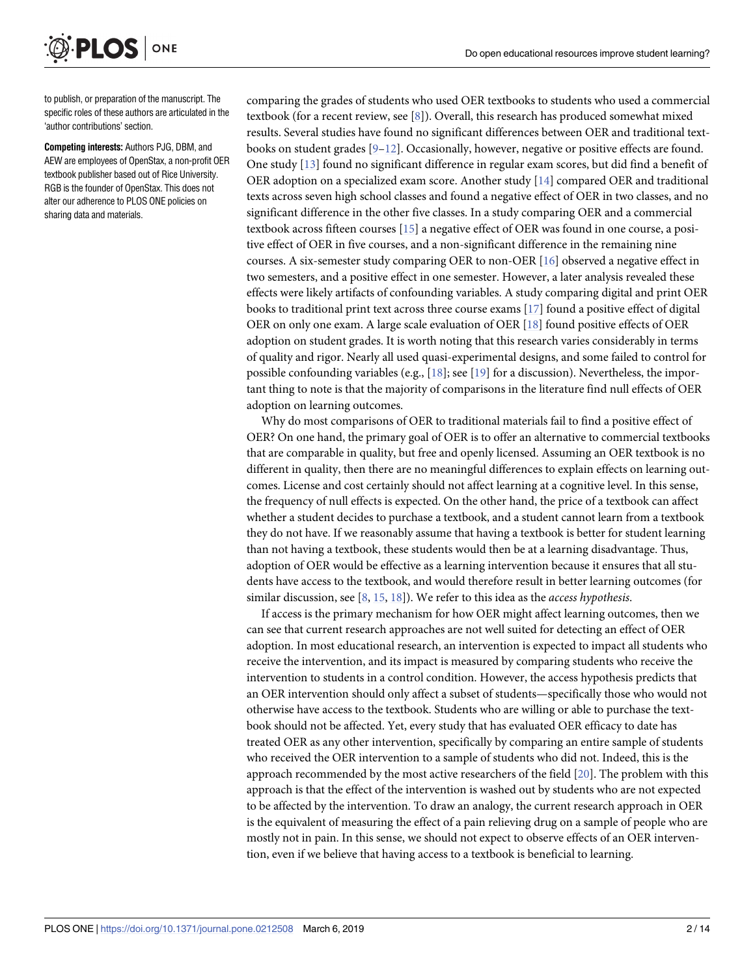to publish, or preparation of the manuscript. The specific roles of these authors are articulated in the 'author contributions' section.

ONE

<span id="page-1-0"></span>PLOS I

**Competing interests:** Authors PJG, DBM, and AEW are employees of OpenStax, a non-profit OER textbook publisher based out of Rice University. RGB is the founder of OpenStax. This does not alter our adherence to PLOS ONE policies on sharing data and materials.

comparing the grades of students who used OER textbooks to students who used a commercial textbook (for a recent review, see [\[8](#page-12-0)]). Overall, this research has produced somewhat mixed results. Several studies have found no significant differences between OER and traditional textbooks on student grades [9-12]. Occasionally, however, negative or positive effects are found. One study [[13](#page-12-0)] found no significant difference in regular exam scores, but did find a benefit of OER adoption on a specialized exam score. Another study [\[14\]](#page-12-0) compared OER and traditional texts across seven high school classes and found a negative effect of OER in two classes, and no significant difference in the other five classes. In a study comparing OER and a commercial textbook across fifteen courses [[15](#page-12-0)] a negative effect of OER was found in one course, a positive effect of OER in five courses, and a non-significant difference in the remaining nine courses. A six-semester study comparing OER to non-OER [[16](#page-12-0)] observed a negative effect in two semesters, and a positive effect in one semester. However, a later analysis revealed these effects were likely artifacts of confounding variables. A study comparing digital and print OER books to traditional print text across three course exams [\[17\]](#page-12-0) found a positive effect of digital OER on only one exam. A large scale evaluation of OER [\[18\]](#page-12-0) found positive effects of OER adoption on student grades. It is worth noting that this research varies considerably in terms of quality and rigor. Nearly all used quasi-experimental designs, and some failed to control for possible confounding variables (e.g.,  $[18]$  $[18]$  $[18]$ ; see  $[19]$  $[19]$  $[19]$  for a discussion). Nevertheless, the important thing to note is that the majority of comparisons in the literature find null effects of OER adoption on learning outcomes.

Why do most comparisons of OER to traditional materials fail to find a positive effect of OER? On one hand, the primary goal of OER is to offer an alternative to commercial textbooks that are comparable in quality, but free and openly licensed. Assuming an OER textbook is no different in quality, then there are no meaningful differences to explain effects on learning outcomes. License and cost certainly should not affect learning at a cognitive level. In this sense, the frequency of null effects is expected. On the other hand, the price of a textbook can affect whether a student decides to purchase a textbook, and a student cannot learn from a textbook they do not have. If we reasonably assume that having a textbook is better for student learning than not having a textbook, these students would then be at a learning disadvantage. Thus, adoption of OER would be effective as a learning intervention because it ensures that all students have access to the textbook, and would therefore result in better learning outcomes (for similar discussion, see [\[8](#page-12-0), [15](#page-12-0), [18](#page-12-0)]). We refer to this idea as the *access hypothesis*.

If access is the primary mechanism for how OER might affect learning outcomes, then we can see that current research approaches are not well suited for detecting an effect of OER adoption. In most educational research, an intervention is expected to impact all students who receive the intervention, and its impact is measured by comparing students who receive the intervention to students in a control condition. However, the access hypothesis predicts that an OER intervention should only affect a subset of students—specifically those who would not otherwise have access to the textbook. Students who are willing or able to purchase the textbook should not be affected. Yet, every study that has evaluated OER efficacy to date has treated OER as any other intervention, specifically by comparing an entire sample of students who received the OER intervention to a sample of students who did not. Indeed, this is the approach recommended by the most active researchers of the field [[20](#page-12-0)]. The problem with this approach is that the effect of the intervention is washed out by students who are not expected to be affected by the intervention. To draw an analogy, the current research approach in OER is the equivalent of measuring the effect of a pain relieving drug on a sample of people who are mostly not in pain. In this sense, we should not expect to observe effects of an OER intervention, even if we believe that having access to a textbook is beneficial to learning.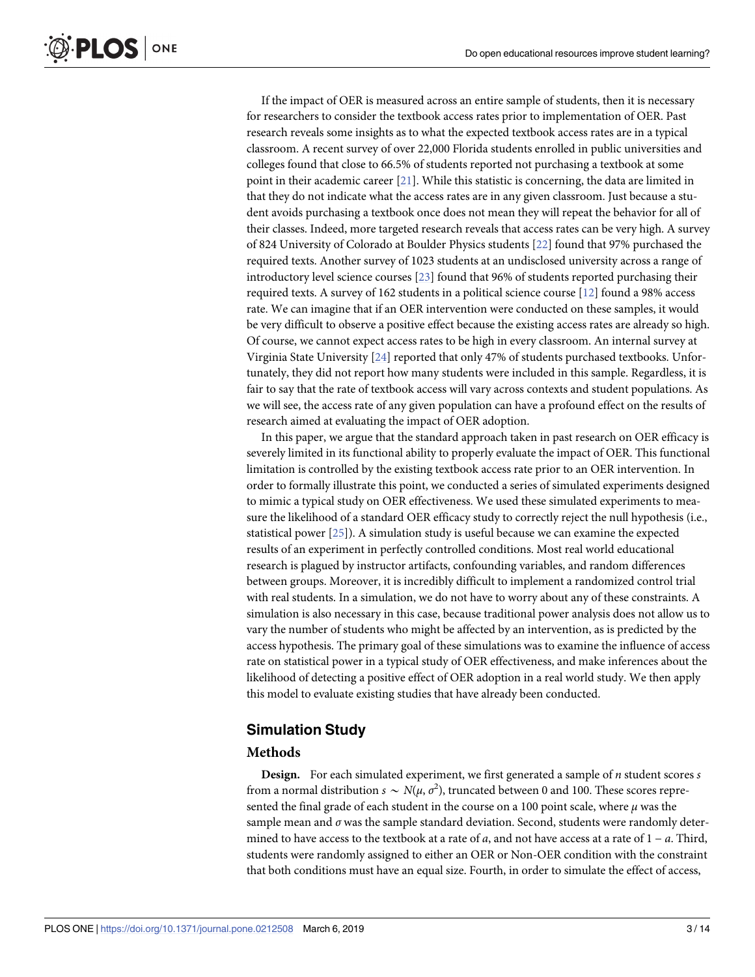<span id="page-2-0"></span>If the impact of OER is measured across an entire sample of students, then it is necessary for researchers to consider the textbook access rates prior to implementation of OER. Past research reveals some insights as to what the expected textbook access rates are in a typical classroom. A recent survey of over 22,000 Florida students enrolled in public universities and colleges found that close to 66.5% of students reported not purchasing a textbook at some point in their academic career [[21](#page-12-0)]. While this statistic is concerning, the data are limited in that they do not indicate what the access rates are in any given classroom. Just because a student avoids purchasing a textbook once does not mean they will repeat the behavior for all of their classes. Indeed, more targeted research reveals that access rates can be very high. A survey of 824 University of Colorado at Boulder Physics students [\[22](#page-12-0)] found that 97% purchased the required texts. Another survey of 1023 students at an undisclosed university across a range of introductory level science courses [[23](#page-12-0)] found that 96% of students reported purchasing their required texts. A survey of 162 students in a political science course [[12](#page-12-0)] found a 98% access rate. We can imagine that if an OER intervention were conducted on these samples, it would be very difficult to observe a positive effect because the existing access rates are already so high. Of course, we cannot expect access rates to be high in every classroom. An internal survey at Virginia State University [\[24\]](#page-12-0) reported that only 47% of students purchased textbooks. Unfortunately, they did not report how many students were included in this sample. Regardless, it is fair to say that the rate of textbook access will vary across contexts and student populations. As we will see, the access rate of any given population can have a profound effect on the results of research aimed at evaluating the impact of OER adoption.

In this paper, we argue that the standard approach taken in past research on OER efficacy is severely limited in its functional ability to properly evaluate the impact of OER. This functional limitation is controlled by the existing textbook access rate prior to an OER intervention. In order to formally illustrate this point, we conducted a series of simulated experiments designed to mimic a typical study on OER effectiveness. We used these simulated experiments to measure the likelihood of a standard OER efficacy study to correctly reject the null hypothesis (i.e., statistical power [[25](#page-12-0)]). A simulation study is useful because we can examine the expected results of an experiment in perfectly controlled conditions. Most real world educational research is plagued by instructor artifacts, confounding variables, and random differences between groups. Moreover, it is incredibly difficult to implement a randomized control trial with real students. In a simulation, we do not have to worry about any of these constraints. A simulation is also necessary in this case, because traditional power analysis does not allow us to vary the number of students who might be affected by an intervention, as is predicted by the access hypothesis. The primary goal of these simulations was to examine the influence of access rate on statistical power in a typical study of OER effectiveness, and make inferences about the likelihood of detecting a positive effect of OER adoption in a real world study. We then apply this model to evaluate existing studies that have already been conducted.

# **Simulation Study**

#### **Methods**

**Design.** For each simulated experiment, we first generated a sample of *n* student scores *s* from a normal distribution  $s \sim N(\mu, \sigma^2)$ , truncated between 0 and 100. These scores represented the final grade of each student in the course on a 100 point scale, where  $\mu$  was the sample mean and *σ* was the sample standard deviation. Second, students were randomly determined to have access to the textbook at a rate of *a*, and not have access at a rate of 1 − *a*. Third, students were randomly assigned to either an OER or Non-OER condition with the constraint that both conditions must have an equal size. Fourth, in order to simulate the effect of access,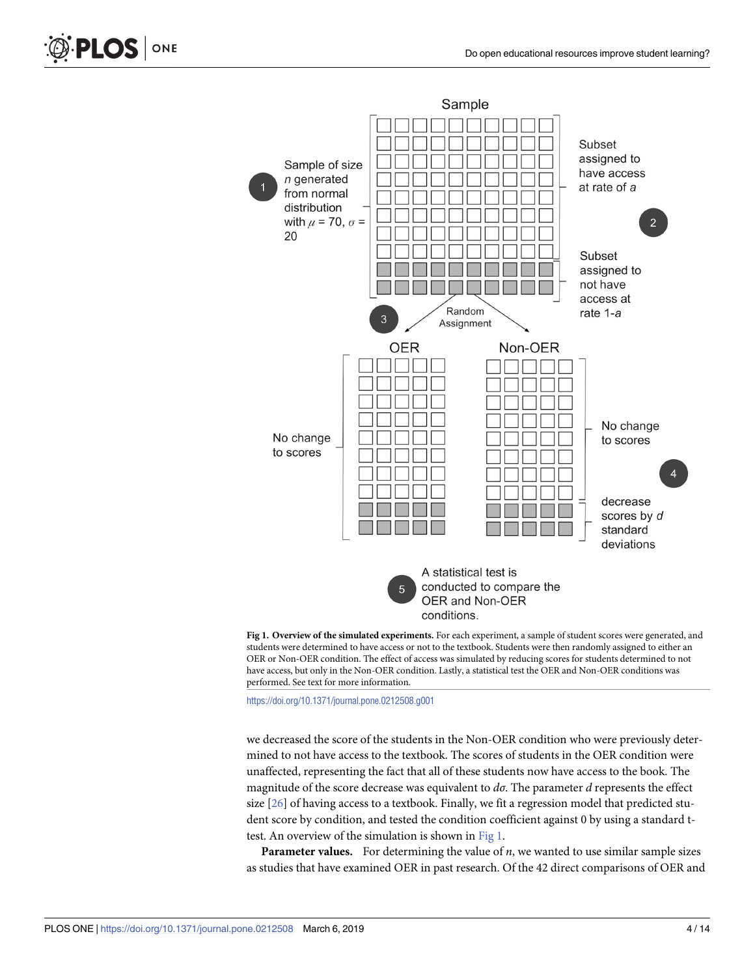

**Fig 1. Overview of the simulated experiments.** For each experiment, a sample of student scores were generated, and students were determined to have access or not to the textbook. Students were then randomly assigned to either an OER or Non-OER condition. The effect of access was simulated by reducing scores for students determined to not have access, but only in the Non-OER condition. Lastly, a statistical test the OER and Non-OER conditions was performed. See text for more information.

<https://doi.org/10.1371/journal.pone.0212508.g001>

we decreased the score of the students in the Non-OER condition who were previously determined to not have access to the textbook. The scores of students in the OER condition were unaffected, representing the fact that all of these students now have access to the book. The magnitude of the score decrease was equivalent to *dσ*. The parameter *d* represents the effect size [\[26\]](#page-12-0) of having access to a textbook. Finally, we fit a regression model that predicted student score by condition, and tested the condition coefficient against 0 by using a standard ttest. An overview of the simulation is shown in Fig 1.

**Parameter values.** For determining the value of *n*, we wanted to use similar sample sizes as studies that have examined OER in past research. Of the 42 direct comparisons of OER and

<span id="page-3-0"></span>PLOS ONE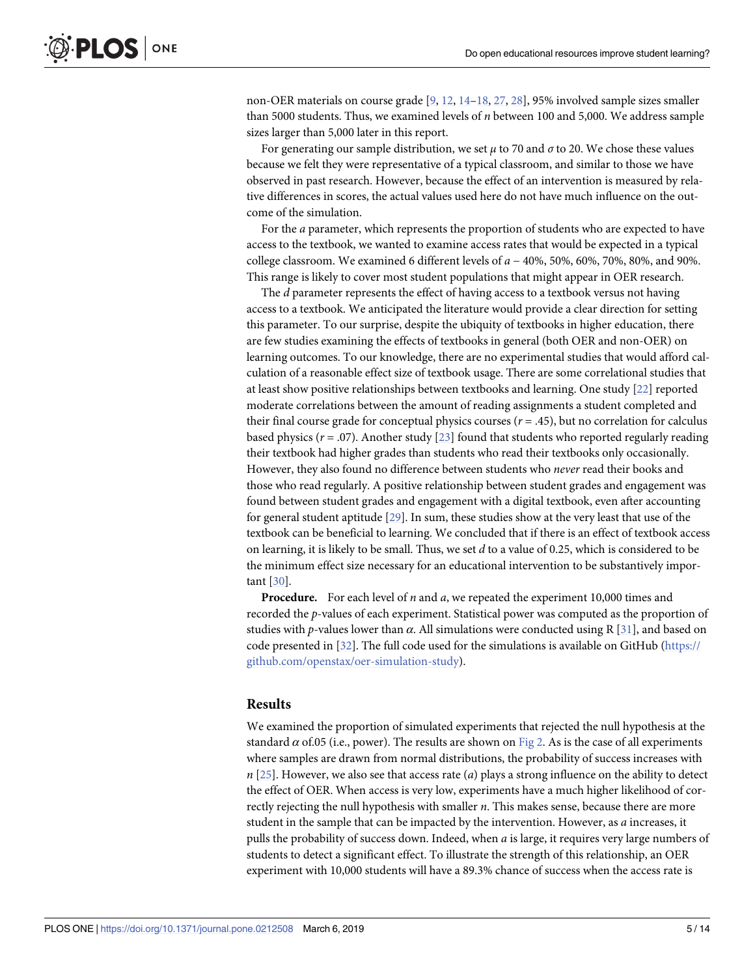<span id="page-4-0"></span>non-OER materials on course grade [[9,](#page-12-0) [12](#page-12-0), [14](#page-12-0)–[18](#page-12-0), [27](#page-12-0), [28](#page-13-0)], 95% involved sample sizes smaller than 5000 students. Thus, we examined levels of *n* between 100 and 5,000. We address sample sizes larger than 5,000 later in this report.

For generating our sample distribution, we set *μ* to 70 and *σ* to 20. We chose these values because we felt they were representative of a typical classroom, and similar to those we have observed in past research. However, because the effect of an intervention is measured by relative differences in scores, the actual values used here do not have much influence on the outcome of the simulation.

For the *a* parameter, which represents the proportion of students who are expected to have access to the textbook, we wanted to examine access rates that would be expected in a typical college classroom. We examined 6 different levels of *a* − 40%, 50%, 60%, 70%, 80%, and 90%. This range is likely to cover most student populations that might appear in OER research.

The *d* parameter represents the effect of having access to a textbook versus not having access to a textbook. We anticipated the literature would provide a clear direction for setting this parameter. To our surprise, despite the ubiquity of textbooks in higher education, there are few studies examining the effects of textbooks in general (both OER and non-OER) on learning outcomes. To our knowledge, there are no experimental studies that would afford calculation of a reasonable effect size of textbook usage. There are some correlational studies that at least show positive relationships between textbooks and learning. One study [[22](#page-12-0)] reported moderate correlations between the amount of reading assignments a student completed and their final course grade for conceptual physics courses  $(r = .45)$ , but no correlation for calculus based physics ( $r = .07$ ). Another study [\[23](#page-12-0)] found that students who reported regularly reading their textbook had higher grades than students who read their textbooks only occasionally. However, they also found no difference between students who *never* read their books and those who read regularly. A positive relationship between student grades and engagement was found between student grades and engagement with a digital textbook, even after accounting for general student aptitude [[29](#page-13-0)]. In sum, these studies show at the very least that use of the textbook can be beneficial to learning. We concluded that if there is an effect of textbook access on learning, it is likely to be small. Thus, we set *d* to a value of 0.25, which is considered to be the minimum effect size necessary for an educational intervention to be substantively important [\[30\]](#page-13-0).

**Procedure.** For each level of *n* and *a*, we repeated the experiment 10,000 times and recorded the *p*-values of each experiment. Statistical power was computed as the proportion of studies with *p*-values lower than  $\alpha$ . All simulations were conducted using R [\[31\]](#page-13-0), and based on code presented in [[32](#page-13-0)]. The full code used for the simulations is available on GitHub [\(https://](https://github.com/openstax/oer-simulation-study) [github.com/openstax/oer-simulation-study](https://github.com/openstax/oer-simulation-study)).

## **Results**

We examined the proportion of simulated experiments that rejected the null hypothesis at the standard  $\alpha$  of 0.05 (i.e., power). The results are shown on [Fig](#page-5-0) 2. As is the case of all experiments where samples are drawn from normal distributions, the probability of success increases with *n* [[25](#page-12-0)]. However, we also see that access rate (*a*) plays a strong influence on the ability to detect the effect of OER. When access is very low, experiments have a much higher likelihood of correctly rejecting the null hypothesis with smaller *n*. This makes sense, because there are more student in the sample that can be impacted by the intervention. However, as *a* increases, it pulls the probability of success down. Indeed, when *a* is large, it requires very large numbers of students to detect a significant effect. To illustrate the strength of this relationship, an OER experiment with 10,000 students will have a 89.3% chance of success when the access rate is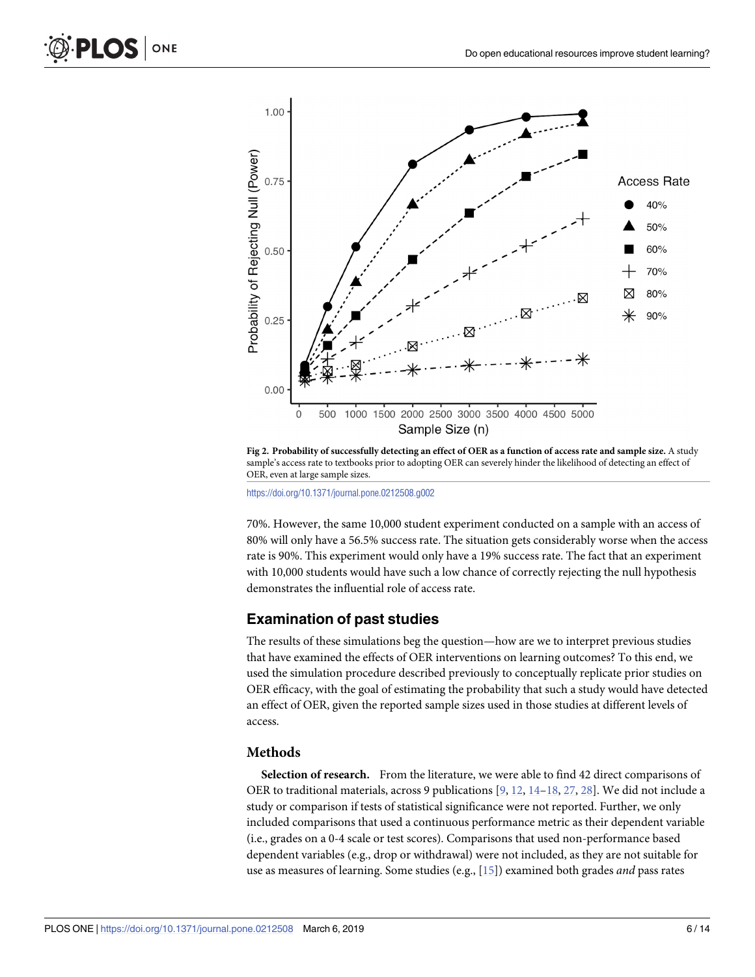<span id="page-5-0"></span>

[Fig](#page-4-0) 2. Probability of successfully detecting an effect of OER as a function of access rate and sample size. A study sample's access rate to textbooks prior to adopting OER can severely hinder the likelihood of detecting an effect of OER, even at large sample sizes.

<https://doi.org/10.1371/journal.pone.0212508.g002>

70%. However, the same 10,000 student experiment conducted on a sample with an access of 80% will only have a 56.5% success rate. The situation gets considerably worse when the access rate is 90%. This experiment would only have a 19% success rate. The fact that an experiment with 10,000 students would have such a low chance of correctly rejecting the null hypothesis demonstrates the influential role of access rate.

## **Examination of past studies**

The results of these simulations beg the question—how are we to interpret previous studies that have examined the effects of OER interventions on learning outcomes? To this end, we used the simulation procedure described previously to conceptually replicate prior studies on OER efficacy, with the goal of estimating the probability that such a study would have detected an effect of OER, given the reported sample sizes used in those studies at different levels of access.

## **Methods**

**Selection of research.** From the literature, we were able to find 42 direct comparisons of OER to traditional materials, across 9 publications [\[9](#page-12-0), [12](#page-12-0), [14–18,](#page-12-0) [27,](#page-12-0) [28\]](#page-13-0). We did not include a study or comparison if tests of statistical significance were not reported. Further, we only included comparisons that used a continuous performance metric as their dependent variable (i.e., grades on a 0-4 scale or test scores). Comparisons that used non-performance based dependent variables (e.g., drop or withdrawal) were not included, as they are not suitable for use as measures of learning. Some studies (e.g., [[15](#page-12-0)]) examined both grades *and* pass rates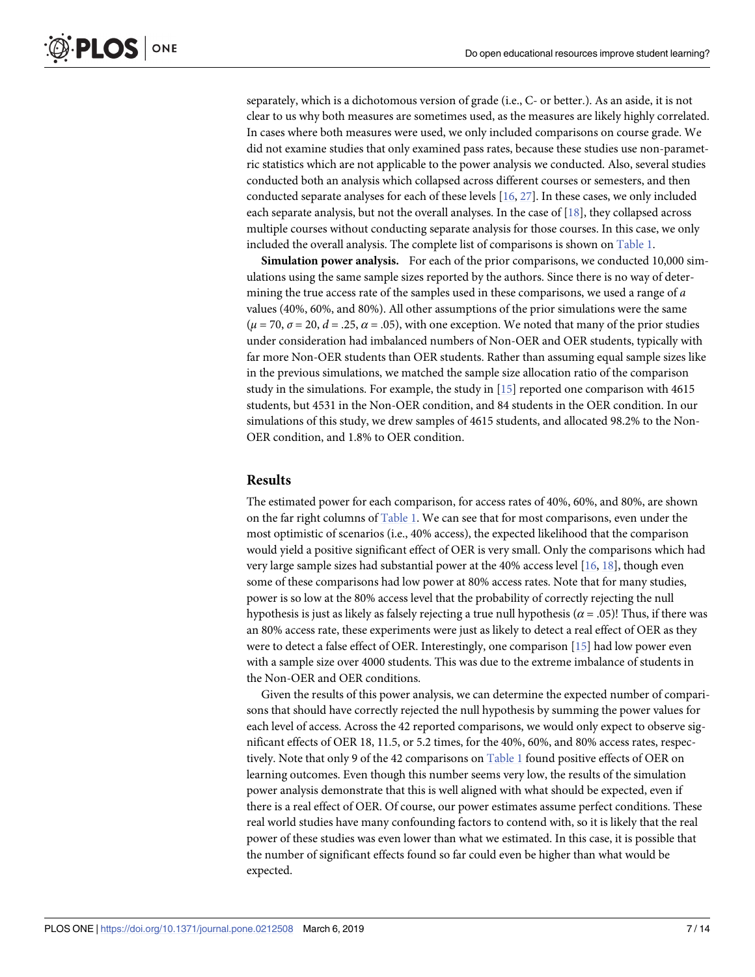<span id="page-6-0"></span>separately, which is a dichotomous version of grade (i.e., C- or better.). As an aside, it is not clear to us why both measures are sometimes used, as the measures are likely highly correlated. In cases where both measures were used, we only included comparisons on course grade. We did not examine studies that only examined pass rates, because these studies use non-parametric statistics which are not applicable to the power analysis we conducted. Also, several studies conducted both an analysis which collapsed across different courses or semesters, and then conducted separate analyses for each of these levels [[16](#page-12-0), [27](#page-12-0)]. In these cases, we only included each separate analysis, but not the overall analyses. In the case of [[18](#page-12-0)], they collapsed across multiple courses without conducting separate analysis for those courses. In this case, we only included the overall analysis. The complete list of comparisons is shown on [Table](#page-7-0) 1.

**Simulation power analysis.** For each of the prior comparisons, we conducted 10,000 simulations using the same sample sizes reported by the authors. Since there is no way of determining the true access rate of the samples used in these comparisons, we used a range of *a* values (40%, 60%, and 80%). All other assumptions of the prior simulations were the same  $(\mu = 70, \sigma = 20, d = .25, \alpha = .05)$ , with one exception. We noted that many of the prior studies under consideration had imbalanced numbers of Non-OER and OER students, typically with far more Non-OER students than OER students. Rather than assuming equal sample sizes like in the previous simulations, we matched the sample size allocation ratio of the comparison study in the simulations. For example, the study in [\[15\]](#page-12-0) reported one comparison with 4615 students, but 4531 in the Non-OER condition, and 84 students in the OER condition. In our simulations of this study, we drew samples of 4615 students, and allocated 98.2% to the Non-OER condition, and 1.8% to OER condition.

# **Results**

The estimated power for each comparison, for access rates of 40%, 60%, and 80%, are shown on the far right columns of [Table](#page-7-0) 1. We can see that for most comparisons, even under the most optimistic of scenarios (i.e., 40% access), the expected likelihood that the comparison would yield a positive significant effect of OER is very small. Only the comparisons which had very large sample sizes had substantial power at the 40% access level [\[16,](#page-12-0) [18\]](#page-12-0), though even some of these comparisons had low power at 80% access rates. Note that for many studies, power is so low at the 80% access level that the probability of correctly rejecting the null hypothesis is just as likely as falsely rejecting a true null hypothesis ( $\alpha$  = .05)! Thus, if there was an 80% access rate, these experiments were just as likely to detect a real effect of OER as they were to detect a false effect of OER. Interestingly, one comparison [[15](#page-12-0)] had low power even with a sample size over 4000 students. This was due to the extreme imbalance of students in the Non-OER and OER conditions.

Given the results of this power analysis, we can determine the expected number of comparisons that should have correctly rejected the null hypothesis by summing the power values for each level of access. Across the 42 reported comparisons, we would only expect to observe significant effects of OER 18, 11.5, or 5.2 times, for the 40%, 60%, and 80% access rates, respectively. Note that only 9 of the 42 comparisons on [Table](#page-7-0) 1 found positive effects of OER on learning outcomes. Even though this number seems very low, the results of the simulation power analysis demonstrate that this is well aligned with what should be expected, even if there is a real effect of OER. Of course, our power estimates assume perfect conditions. These real world studies have many confounding factors to contend with, so it is likely that the real power of these studies was even lower than what we estimated. In this case, it is possible that the number of significant effects found so far could even be higher than what would be expected.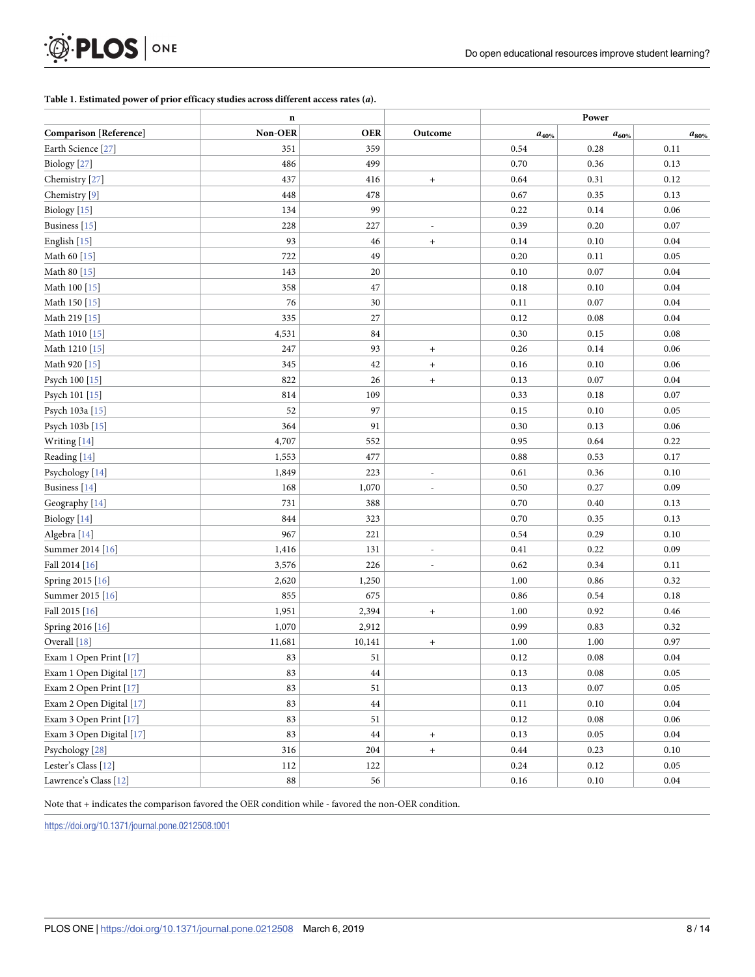#### <span id="page-7-0"></span>**[Table](#page-6-0) 1. Estimated power of prior efficacy studies across different access rates (***a***).**

|                               | $\bf n$ |            |                          | Power      |            |            |
|-------------------------------|---------|------------|--------------------------|------------|------------|------------|
| <b>Comparison</b> [Reference] | Non-OER | <b>OER</b> | Outcome                  | $a_{40\%}$ | $a_{60\%}$ | $a_{80\%}$ |
| Earth Science <sup>[27]</sup> | 351     | 359        |                          | 0.54       | 0.28       | 0.11       |
| Biology [27]                  | 486     | 499        |                          | 0.70       | 0.36       | 0.13       |
| Chemistry [27]                | 437     | 416        | $\boldsymbol{+}$         | 0.64       | 0.31       | 0.12       |
| Chemistry [9]                 | 448     | 478        |                          | 0.67       | 0.35       | 0.13       |
| Biology [15]                  | 134     | 99         |                          | 0.22       | 0.14       | 0.06       |
| Business [15]                 | 228     | 227        |                          | 0.39       | 0.20       | 0.07       |
| English [15]                  | 93      | 46         | $^{\mathrm{+}}$          | 0.14       | 0.10       | 0.04       |
| Math 60 [15]                  | 722     | 49         |                          | 0.20       | 0.11       | 0.05       |
| Math 80 [15]                  | 143     | 20         |                          | 0.10       | 0.07       | 0.04       |
| Math 100 [15]                 | 358     | 47         |                          | 0.18       | 0.10       | 0.04       |
| Math 150 [15]                 | 76      | 30         |                          | 0.11       | 0.07       | 0.04       |
| Math 219 [15]                 | 335     | 27         |                          | 0.12       | 0.08       | 0.04       |
| Math 1010 [15]                | 4,531   | 84         |                          | 0.30       | 0.15       | 0.08       |
| Math 1210 [15]                | 247     | 93         | $+$                      | 0.26       | 0.14       | 0.06       |
| Math 920 [15]                 | 345     | 42         | $\qquad \qquad +$        | 0.16       | 0.10       | 0.06       |
| Psych 100 [15]                | 822     | 26         |                          | 0.13       | 0.07       | 0.04       |
| Psych 101 [15]                | 814     | 109        |                          | 0.33       | 0.18       | 0.07       |
| Psych 103a [15]               | 52      | 97         |                          | 0.15       | 0.10       | 0.05       |
| Psych 103b [15]               | 364     | 91         |                          | 0.30       | 0.13       | 0.06       |
| Writing [14]                  | 4,707   | 552        |                          | 0.95       | 0.64       | 0.22       |
| Reading [14]                  | 1,553   | 477        |                          | 0.88       | 0.53       | 0.17       |
| Psychology <sup>[14]</sup>    | 1,849   | 223        |                          | 0.61       | 0.36       | 0.10       |
| Business [14]                 | 168     | 1,070      |                          | 0.50       | 0.27       | 0.09       |
| Geography [14]                | 731     | 388        |                          | 0.70       | 0.40       | 0.13       |
| Biology [14]                  | 844     | 323        |                          | 0.70       | 0.35       | 0.13       |
| Algebra [14]                  | 967     | 221        |                          | 0.54       | 0.29       | 0.10       |
| Summer 2014 [16]              | 1,416   | 131        | $\overline{\phantom{a}}$ | 0.41       | 0.22       | 0.09       |
| Fall 2014 [16]                | 3,576   | 226        |                          | 0.62       | 0.34       | 0.11       |
| Spring 2015 [16]              | 2,620   | 1,250      |                          | 1.00       | 0.86       | 0.32       |
| Summer 2015 [16]              | 855     | 675        |                          | 0.86       | 0.54       | 0.18       |
| Fall 2015 [16]                | 1,951   | 2,394      | $^{\mathrm{+}}$          | 1.00       | 0.92       | 0.46       |
| Spring 2016 [16]              | 1,070   | 2,912      |                          | 0.99       | 0.83       | 0.32       |
| Overall [18]                  | 11,681  | 10,141     | $\boldsymbol{+}$         | 1.00       | 1.00       | 0.97       |
| Exam 1 Open Print [17]        | 83      | 51         |                          | 0.12       | 0.08       | 0.04       |
| Exam 1 Open Digital [17]      | 83      | 44         |                          | 0.13       | 0.08       | 0.05       |
| Exam 2 Open Print [17]        | 83      | $51\,$     |                          | 0.13       | 0.07       | 0.05       |
| Exam 2 Open Digital [17]      | 83      | $\bf 44$   |                          | $0.11\,$   | 0.10       | 0.04       |
| Exam 3 Open Print [17]        | 83      | 51         |                          | 0.12       | 0.08       | 0.06       |
| Exam 3 Open Digital [17]      | 83      | $\bf 44$   | $\boldsymbol{+}$         | 0.13       | 0.05       | 0.04       |
| Psychology [28]               | 316     | 204        |                          | 0.44       | 0.23       | 0.10       |
| Lester's Class [12]           | 112     | 122        |                          | 0.24       | 0.12       | 0.05       |
| Lawrence's Class [12]         | 88      | 56         |                          | 0.16       | 0.10       | 0.04       |

Note that + indicates the comparison favored the OER condition while - favored the non-OER condition.

<https://doi.org/10.1371/journal.pone.0212508.t001>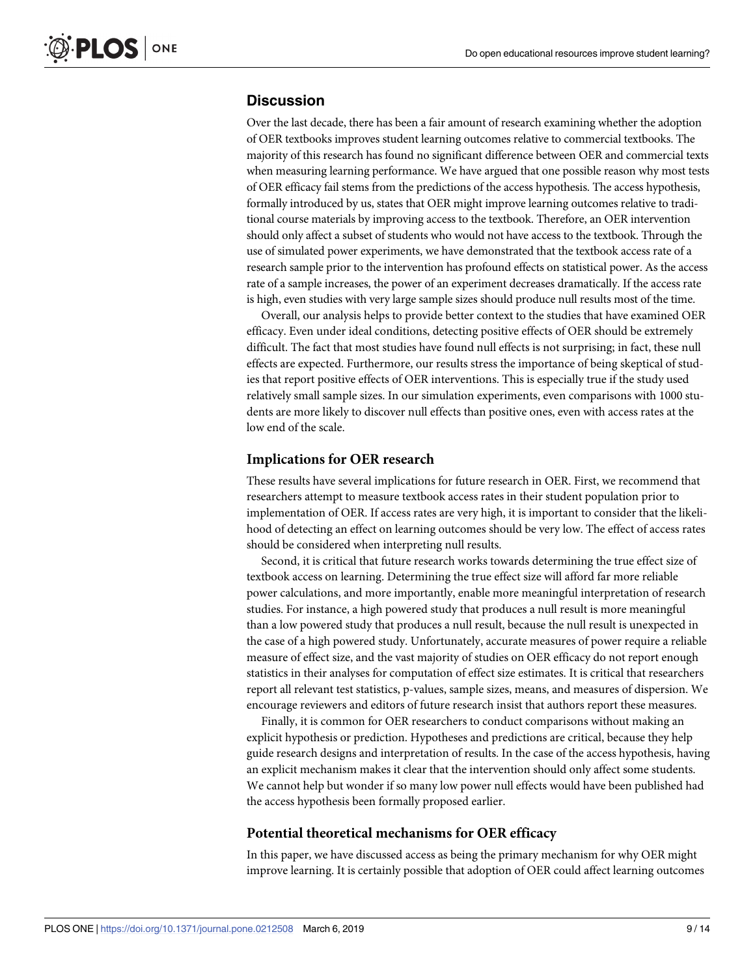# **Discussion**

Over the last decade, there has been a fair amount of research examining whether the adoption of OER textbooks improves student learning outcomes relative to commercial textbooks. The majority of this research has found no significant difference between OER and commercial texts when measuring learning performance. We have argued that one possible reason why most tests of OER efficacy fail stems from the predictions of the access hypothesis. The access hypothesis, formally introduced by us, states that OER might improve learning outcomes relative to traditional course materials by improving access to the textbook. Therefore, an OER intervention should only affect a subset of students who would not have access to the textbook. Through the use of simulated power experiments, we have demonstrated that the textbook access rate of a research sample prior to the intervention has profound effects on statistical power. As the access rate of a sample increases, the power of an experiment decreases dramatically. If the access rate is high, even studies with very large sample sizes should produce null results most of the time.

Overall, our analysis helps to provide better context to the studies that have examined OER efficacy. Even under ideal conditions, detecting positive effects of OER should be extremely difficult. The fact that most studies have found null effects is not surprising; in fact, these null effects are expected. Furthermore, our results stress the importance of being skeptical of studies that report positive effects of OER interventions. This is especially true if the study used relatively small sample sizes. In our simulation experiments, even comparisons with 1000 students are more likely to discover null effects than positive ones, even with access rates at the low end of the scale.

#### **Implications for OER research**

These results have several implications for future research in OER. First, we recommend that researchers attempt to measure textbook access rates in their student population prior to implementation of OER. If access rates are very high, it is important to consider that the likelihood of detecting an effect on learning outcomes should be very low. The effect of access rates should be considered when interpreting null results.

Second, it is critical that future research works towards determining the true effect size of textbook access on learning. Determining the true effect size will afford far more reliable power calculations, and more importantly, enable more meaningful interpretation of research studies. For instance, a high powered study that produces a null result is more meaningful than a low powered study that produces a null result, because the null result is unexpected in the case of a high powered study. Unfortunately, accurate measures of power require a reliable measure of effect size, and the vast majority of studies on OER efficacy do not report enough statistics in their analyses for computation of effect size estimates. It is critical that researchers report all relevant test statistics, p-values, sample sizes, means, and measures of dispersion. We encourage reviewers and editors of future research insist that authors report these measures.

Finally, it is common for OER researchers to conduct comparisons without making an explicit hypothesis or prediction. Hypotheses and predictions are critical, because they help guide research designs and interpretation of results. In the case of the access hypothesis, having an explicit mechanism makes it clear that the intervention should only affect some students. We cannot help but wonder if so many low power null effects would have been published had the access hypothesis been formally proposed earlier.

#### **Potential theoretical mechanisms for OER efficacy**

In this paper, we have discussed access as being the primary mechanism for why OER might improve learning. It is certainly possible that adoption of OER could affect learning outcomes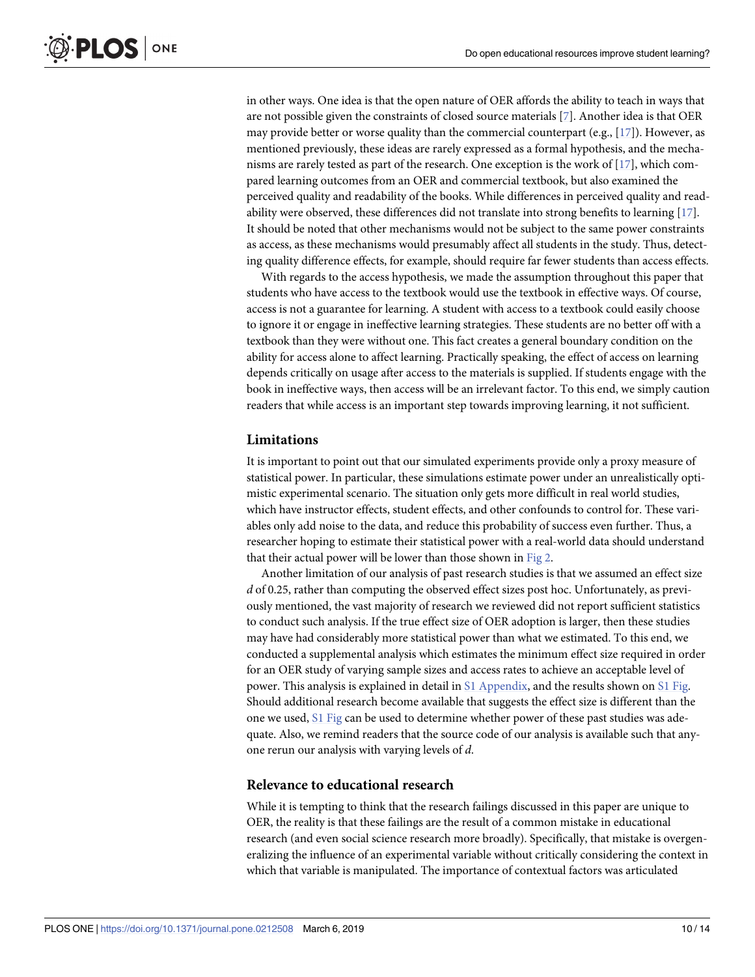in other ways. One idea is that the open nature of OER affords the ability to teach in ways that are not possible given the constraints of closed source materials [[7\]](#page-12-0). Another idea is that OER may provide better or worse quality than the commercial counterpart (e.g.,  $[17]$ ). However, as mentioned previously, these ideas are rarely expressed as a formal hypothesis, and the mechanisms are rarely tested as part of the research. One exception is the work of [\[17\]](#page-12-0), which compared learning outcomes from an OER and commercial textbook, but also examined the perceived quality and readability of the books. While differences in perceived quality and readability were observed, these differences did not translate into strong benefits to learning [\[17\]](#page-12-0). It should be noted that other mechanisms would not be subject to the same power constraints as access, as these mechanisms would presumably affect all students in the study. Thus, detecting quality difference effects, for example, should require far fewer students than access effects.

With regards to the access hypothesis, we made the assumption throughout this paper that students who have access to the textbook would use the textbook in effective ways. Of course, access is not a guarantee for learning. A student with access to a textbook could easily choose to ignore it or engage in ineffective learning strategies. These students are no better off with a textbook than they were without one. This fact creates a general boundary condition on the ability for access alone to affect learning. Practically speaking, the effect of access on learning depends critically on usage after access to the materials is supplied. If students engage with the book in ineffective ways, then access will be an irrelevant factor. To this end, we simply caution readers that while access is an important step towards improving learning, it not sufficient.

#### **Limitations**

It is important to point out that our simulated experiments provide only a proxy measure of statistical power. In particular, these simulations estimate power under an unrealistically optimistic experimental scenario. The situation only gets more difficult in real world studies, which have instructor effects, student effects, and other confounds to control for. These variables only add noise to the data, and reduce this probability of success even further. Thus, a researcher hoping to estimate their statistical power with a real-world data should understand that their actual power will be lower than those shown in [Fig](#page-5-0) 2.

Another limitation of our analysis of past research studies is that we assumed an effect size *d* of 0.25, rather than computing the observed effect sizes post hoc. Unfortunately, as previously mentioned, the vast majority of research we reviewed did not report sufficient statistics to conduct such analysis. If the true effect size of OER adoption is larger, then these studies may have had considerably more statistical power than what we estimated. To this end, we conducted a supplemental analysis which estimates the minimum effect size required in order for an OER study of varying sample sizes and access rates to achieve an acceptable level of power. This analysis is explained in detail in S1 [Appendix,](#page-11-0) and the results shown on S1 [Fig](#page-11-0). Should additional research become available that suggests the effect size is different than the one we used, S1 [Fig](#page-11-0) can be used to determine whether power of these past studies was adequate. Also, we remind readers that the source code of our analysis is available such that anyone rerun our analysis with varying levels of *d*.

#### **Relevance to educational research**

While it is tempting to think that the research failings discussed in this paper are unique to OER, the reality is that these failings are the result of a common mistake in educational research (and even social science research more broadly). Specifically, that mistake is overgeneralizing the influence of an experimental variable without critically considering the context in which that variable is manipulated. The importance of contextual factors was articulated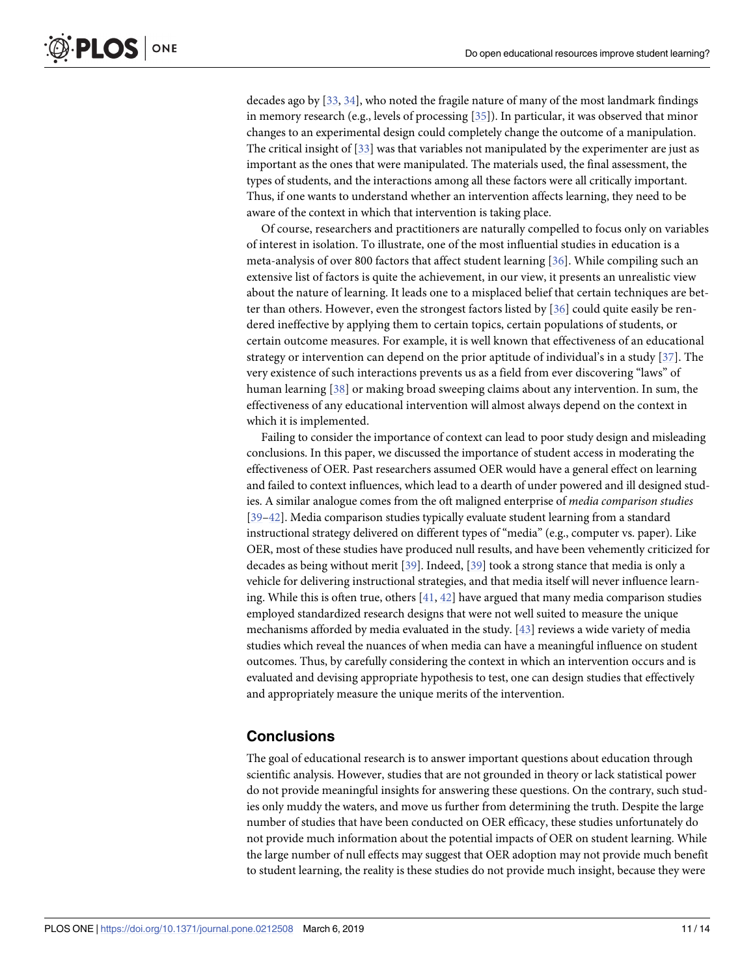<span id="page-10-0"></span>PLOS ONE

decades ago by [[33](#page-13-0), [34](#page-13-0)], who noted the fragile nature of many of the most landmark findings in memory research (e.g., levels of processing [\[35\]](#page-13-0)). In particular, it was observed that minor changes to an experimental design could completely change the outcome of a manipulation. The critical insight of [\[33\]](#page-13-0) was that variables not manipulated by the experimenter are just as important as the ones that were manipulated. The materials used, the final assessment, the types of students, and the interactions among all these factors were all critically important. Thus, if one wants to understand whether an intervention affects learning, they need to be aware of the context in which that intervention is taking place.

Of course, researchers and practitioners are naturally compelled to focus only on variables of interest in isolation. To illustrate, one of the most influential studies in education is a meta-analysis of over 800 factors that affect student learning [[36\]](#page-13-0). While compiling such an extensive list of factors is quite the achievement, in our view, it presents an unrealistic view about the nature of learning. It leads one to a misplaced belief that certain techniques are better than others. However, even the strongest factors listed by [[36\]](#page-13-0) could quite easily be rendered ineffective by applying them to certain topics, certain populations of students, or certain outcome measures. For example, it is well known that effectiveness of an educational strategy or intervention can depend on the prior aptitude of individual's in a study [\[37\]](#page-13-0). The very existence of such interactions prevents us as a field from ever discovering "laws" of human learning [\[38](#page-13-0)] or making broad sweeping claims about any intervention. In sum, the effectiveness of any educational intervention will almost always depend on the context in which it is implemented.

Failing to consider the importance of context can lead to poor study design and misleading conclusions. In this paper, we discussed the importance of student access in moderating the effectiveness of OER. Past researchers assumed OER would have a general effect on learning and failed to context influences, which lead to a dearth of under powered and ill designed studies. A similar analogue comes from the oft maligned enterprise of *media comparison studies* [\[39–42\]](#page-13-0). Media comparison studies typically evaluate student learning from a standard instructional strategy delivered on different types of "media" (e.g., computer vs. paper). Like OER, most of these studies have produced null results, and have been vehemently criticized for decades as being without merit [[39](#page-13-0)]. Indeed, [[39](#page-13-0)] took a strong stance that media is only a vehicle for delivering instructional strategies, and that media itself will never influence learning. While this is often true, others [\[41,](#page-13-0) [42](#page-13-0)] have argued that many media comparison studies employed standardized research designs that were not well suited to measure the unique mechanisms afforded by media evaluated in the study. [\[43\]](#page-13-0) reviews a wide variety of media studies which reveal the nuances of when media can have a meaningful influence on student outcomes. Thus, by carefully considering the context in which an intervention occurs and is evaluated and devising appropriate hypothesis to test, one can design studies that effectively and appropriately measure the unique merits of the intervention.

## **Conclusions**

The goal of educational research is to answer important questions about education through scientific analysis. However, studies that are not grounded in theory or lack statistical power do not provide meaningful insights for answering these questions. On the contrary, such studies only muddy the waters, and move us further from determining the truth. Despite the large number of studies that have been conducted on OER efficacy, these studies unfortunately do not provide much information about the potential impacts of OER on student learning. While the large number of null effects may suggest that OER adoption may not provide much benefit to student learning, the reality is these studies do not provide much insight, because they were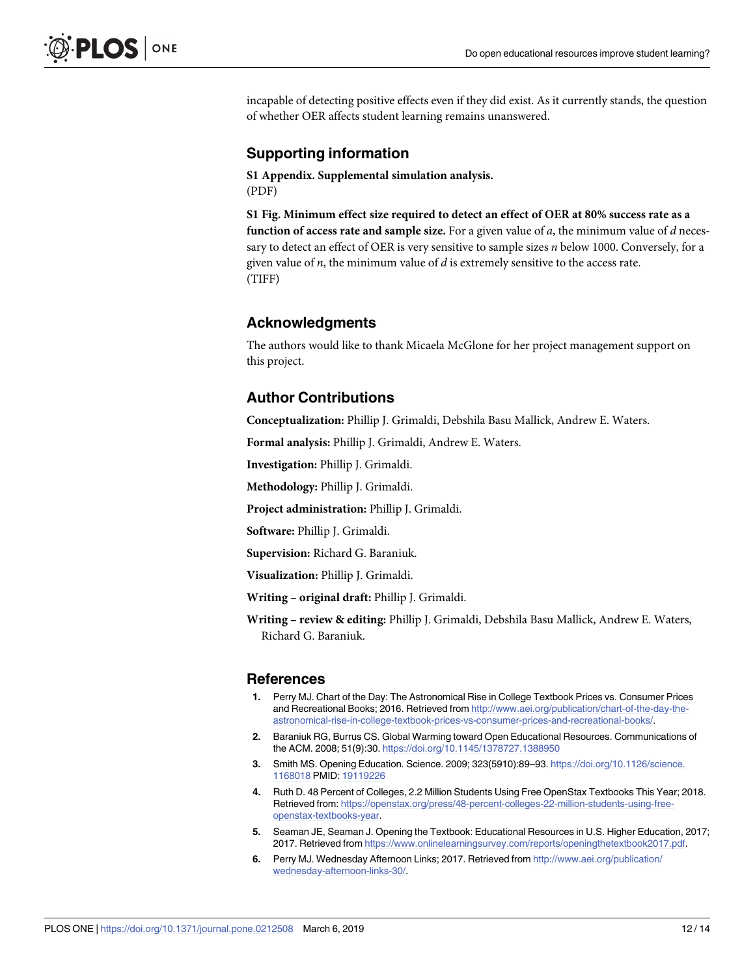<span id="page-11-0"></span>incapable of detecting positive effects even if they did exist. As it currently stands, the question of whether OER affects student learning remains unanswered.

# **Supporting information**

**S1 [Appendix](http://www.plosone.org/article/fetchSingleRepresentation.action?uri=info:doi/10.1371/journal.pone.0212508.s001). Supplemental simulation analysis.** (PDF)

**S1 [Fig](http://www.plosone.org/article/fetchSingleRepresentation.action?uri=info:doi/10.1371/journal.pone.0212508.s002). Minimum effect size required to detect an effect of OER at 80% success rate as a function of access rate and sample size.** For a given value of *a*, the minimum value of *d* necessary to detect an effect of OER is very sensitive to sample sizes *n* below 1000. Conversely, for a given value of *n*, the minimum value of *d* is extremely sensitive to the access rate. (TIFF)

## **Acknowledgments**

The authors would like to thank Micaela McGlone for her project management support on this project.

# **Author Contributions**

**Conceptualization:** Phillip J. Grimaldi, Debshila Basu Mallick, Andrew E. Waters.

**Formal analysis:** Phillip J. Grimaldi, Andrew E. Waters.

**Investigation:** Phillip J. Grimaldi.

**Methodology:** Phillip J. Grimaldi.

**Project administration:** Phillip J. Grimaldi.

**Software:** Phillip J. Grimaldi.

**Supervision:** Richard G. Baraniuk.

**Visualization:** Phillip J. Grimaldi.

**Writing – original draft:** Phillip J. Grimaldi.

**Writing – review & editing:** Phillip J. Grimaldi, Debshila Basu Mallick, Andrew E. Waters, Richard G. Baraniuk.

#### **References**

- **[1](#page-0-0).** Perry MJ. Chart of the Day: The Astronomical Rise in College Textbook Prices vs. Consumer Prices and Recreational Books; 2016. Retrieved from [http://www.aei.org/publication/chart-of-the-day-the](http://www.aei.org/publication/chart-of-the-day-the-astronomical-rise-in-college-textbook-prices-vs-consumer-prices-and-recreational-books/)[astronomical-rise-in-college-textbook-prices-vs-consumer-prices-and-recreational-books/.](http://www.aei.org/publication/chart-of-the-day-the-astronomical-rise-in-college-textbook-prices-vs-consumer-prices-and-recreational-books/)
- **[2](#page-0-0).** Baraniuk RG, Burrus CS. Global Warming toward Open Educational Resources. Communications of the ACM. 2008; 51(9):30. <https://doi.org/10.1145/1378727.1388950>
- **[3](#page-0-0).** Smith MS. Opening Education. Science. 2009; 323(5910):89–93. [https://doi.org/10.1126/science.](https://doi.org/10.1126/science.1168018) [1168018](https://doi.org/10.1126/science.1168018) PMID: [19119226](http://www.ncbi.nlm.nih.gov/pubmed/19119226)
- **[4](#page-0-0).** Ruth D. 48 Percent of Colleges, 2.2 Million Students Using Free OpenStax Textbooks This Year; 2018. Retrieved from: [https://openstax.org/press/48-percent-colleges-22-million-students-using-free](https://openstax.org/press/48-percent-colleges-22-million-students-using-free-openstax-textbooks-year)[openstax-textbooks-year.](https://openstax.org/press/48-percent-colleges-22-million-students-using-free-openstax-textbooks-year)
- **[5](#page-0-0).** Seaman JE, Seaman J. Opening the Textbook: Educational Resources in U.S. Higher Education, 2017; 2017. Retrieved from [https://www.onlinelearningsurvey.com/reports/openingthetextbook2017.pdf.](https://www.onlinelearningsurvey.com/reports/openingthetextbook2017.pdf)
- **[6](#page-0-0).** Perry MJ. Wednesday Afternoon Links; 2017. Retrieved from [http://www.aei.org/publication/](http://www.aei.org/publication/wednesday-afternoon-links-30/) [wednesday-afternoon-links-30/.](http://www.aei.org/publication/wednesday-afternoon-links-30/)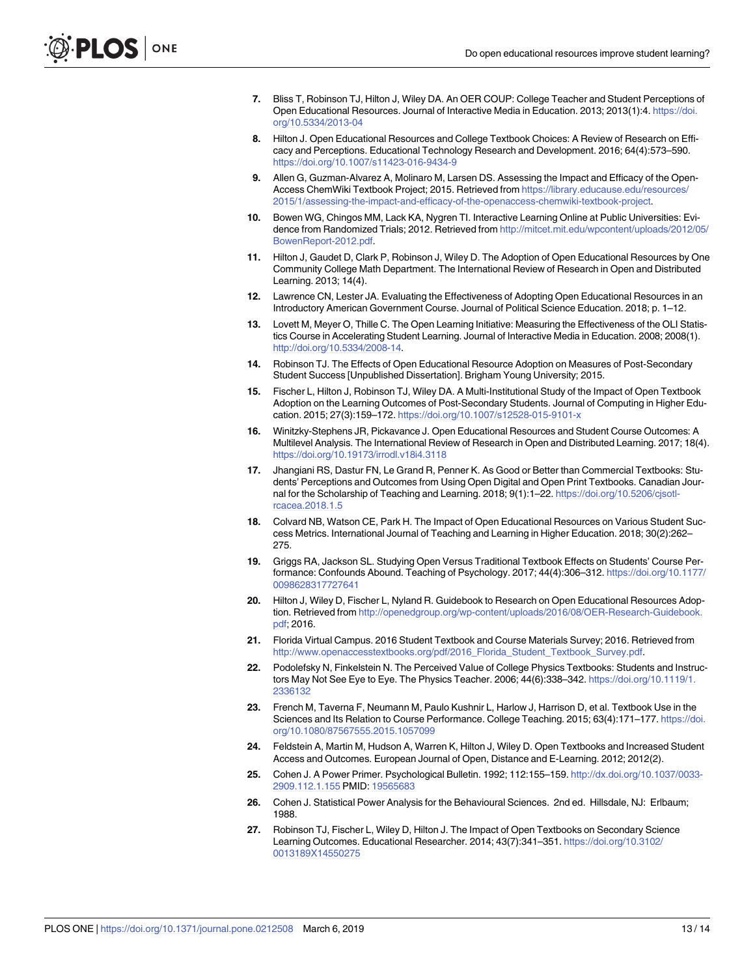- <span id="page-12-0"></span>**[7](#page-0-0).** Bliss T, Robinson TJ, Hilton J, Wiley DA. An OER COUP: College Teacher and Student Perceptions of Open Educational Resources. Journal of Interactive Media in Education. 2013; 2013(1):4. [https://doi.](https://doi.org/10.5334/2013-04) [org/10.5334/2013-04](https://doi.org/10.5334/2013-04)
- **[8](#page-1-0).** Hilton J. Open Educational Resources and College Textbook Choices: A Review of Research on Efficacy and Perceptions. Educational Technology Research and Development. 2016; 64(4):573–590. <https://doi.org/10.1007/s11423-016-9434-9>
- **[9](#page-1-0).** Allen G, Guzman-Alvarez A, Molinaro M, Larsen DS. Assessing the Impact and Efficacy of the OpenAccess ChemWiki Textbook Project; 2015. Retrieved from [https://library.educause.edu/resources/](https://library.educause.edu/resources/2015/1/assessing-the-impact-and-efficacy-of-the-openaccess-chemwiki-textbook-project) [2015/1/assessing-the-impact-and-efficacy-of-the-openaccess-chemwiki-textbook-project.](https://library.educause.edu/resources/2015/1/assessing-the-impact-and-efficacy-of-the-openaccess-chemwiki-textbook-project)
- **10.** Bowen WG, Chingos MM, Lack KA, Nygren TI. Interactive Learning Online at Public Universities: Evidence from Randomized Trials; 2012. Retrieved from [http://mitcet.mit.edu/wpcontent/uploads/2012/05/](http://mitcet.mit.edu/wpcontent/uploads/2012/05/BowenReport-2012.pdf) [BowenReport-2012.pdf](http://mitcet.mit.edu/wpcontent/uploads/2012/05/BowenReport-2012.pdf).
- **11.** Hilton J, Gaudet D, Clark P, Robinson J, Wiley D. The Adoption of Open Educational Resources by One Community College Math Department. The International Review of Research in Open and Distributed Learning. 2013; 14(4).
- **[12](#page-1-0).** Lawrence CN, Lester JA. Evaluating the Effectiveness of Adopting Open Educational Resources in an Introductory American Government Course. Journal of Political Science Education. 2018; p. 1–12.
- **[13](#page-1-0).** Lovett M, Meyer O, Thille C. The Open Learning Initiative: Measuring the Effectiveness of the OLI Statistics Course in Accelerating Student Learning. Journal of Interactive Media in Education. 2008; 2008(1). <http://doi.org/10.5334/2008-14>.
- **[14](#page-1-0).** Robinson TJ. The Effects of Open Educational Resource Adoption on Measures of Post-Secondary Student Success [Unpublished Dissertation]. Brigham Young University; 2015.
- **[15](#page-1-0).** Fischer L, Hilton J, Robinson TJ, Wiley DA. A Multi-Institutional Study of the Impact of Open Textbook Adoption on the Learning Outcomes of Post-Secondary Students. Journal of Computing in Higher Education. 2015; 27(3):159–172. <https://doi.org/10.1007/s12528-015-9101-x>
- **[16](#page-1-0).** Winitzky-Stephens JR, Pickavance J. Open Educational Resources and Student Course Outcomes: A Multilevel Analysis. The International Review of Research in Open and Distributed Learning. 2017; 18(4). <https://doi.org/10.19173/irrodl.v18i4.3118>
- **[17](#page-1-0).** Jhangiani RS, Dastur FN, Le Grand R, Penner K. As Good or Better than Commercial Textbooks: Students' Perceptions and Outcomes from Using Open Digital and Open Print Textbooks. Canadian Journal for the Scholarship of Teaching and Learning. 2018; 9(1):1–22. [https://doi.org/10.5206/cjsotl](https://doi.org/10.5206/cjsotl-rcacea.2018.1.5)[rcacea.2018.1.5](https://doi.org/10.5206/cjsotl-rcacea.2018.1.5)
- **[18](#page-1-0).** Colvard NB, Watson CE, Park H. The Impact of Open Educational Resources on Various Student Success Metrics. International Journal of Teaching and Learning in Higher Education. 2018; 30(2):262– 275.
- **[19](#page-1-0).** Griggs RA, Jackson SL. Studying Open Versus Traditional Textbook Effects on Students' Course Performance: Confounds Abound. Teaching of Psychology. 2017; 44(4):306–312. [https://doi.org/10.1177/](https://doi.org/10.1177/0098628317727641) [0098628317727641](https://doi.org/10.1177/0098628317727641)
- **[20](#page-1-0).** Hilton J, Wiley D, Fischer L, Nyland R. Guidebook to Research on Open Educational Resources Adoption. Retrieved from [http://openedgroup.org/wp-content/uploads/2016/08/OER-Research-Guidebook.](http://openedgroup.org/wp-content/uploads/2016/08/OER-Research-Guidebook.pdf) [pdf](http://openedgroup.org/wp-content/uploads/2016/08/OER-Research-Guidebook.pdf); 2016.
- **[21](#page-2-0).** Florida Virtual Campus. 2016 Student Textbook and Course Materials Survey; 2016. Retrieved from [http://www.openaccesstextbooks.org/pdf/2016\\_Florida\\_Student\\_Textbook\\_Survey.pdf](http://www.openaccesstextbooks.org/pdf/2016_Florida_Student_Textbook_Survey.pdf).
- **[22](#page-2-0).** Podolefsky N, Finkelstein N. The Perceived Value of College Physics Textbooks: Students and Instructors May Not See Eye to Eye. The Physics Teacher. 2006; 44(6):338–342. [https://doi.org/10.1119/1.](https://doi.org/10.1119/1.2336132) [2336132](https://doi.org/10.1119/1.2336132)
- **[23](#page-2-0).** French M, Taverna F, Neumann M, Paulo Kushnir L, Harlow J, Harrison D, et al. Textbook Use in the Sciences and Its Relation to Course Performance. College Teaching. 2015; 63(4):171–177. [https://doi.](https://doi.org/10.1080/87567555.2015.1057099) [org/10.1080/87567555.2015.1057099](https://doi.org/10.1080/87567555.2015.1057099)
- **[24](#page-2-0).** Feldstein A, Martin M, Hudson A, Warren K, Hilton J, Wiley D. Open Textbooks and Increased Student Access and Outcomes. European Journal of Open, Distance and E-Learning. 2012; 2012(2).
- **[25](#page-2-0).** Cohen J. A Power Primer. Psychological Bulletin. 1992; 112:155–159. [http://dx.doi.org/10.1037/0033-](http://dx.doi.org/10.1037/0033-2909.112.1.155) [2909.112.1.155](http://dx.doi.org/10.1037/0033-2909.112.1.155) PMID: [19565683](http://www.ncbi.nlm.nih.gov/pubmed/19565683)
- **[26](#page-3-0).** Cohen J. Statistical Power Analysis for the Behavioural Sciences. 2nd ed. Hillsdale, NJ: Erlbaum; 1988.
- **[27](#page-4-0).** Robinson TJ, Fischer L, Wiley D, Hilton J. The Impact of Open Textbooks on Secondary Science Learning Outcomes. Educational Researcher. 2014; 43(7):341–351. [https://doi.org/10.3102/](https://doi.org/10.3102/0013189X14550275) [0013189X14550275](https://doi.org/10.3102/0013189X14550275)